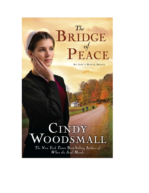# $The$ BRIDGE  $P_{EACE}^{of}$

**Time** 

AN ADA'S HOUSE NOVEL

## CINDY WOODSMALL

The New York Times Best-Selling Author of  $W$ hen the Soul Mends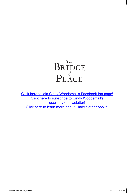

Click here to join Cindy Woodsmall's Facebook fan page! Click here to subscribe to Cindy Woodsmall's quarterly e-newsletter! Click here to learn more about Cindy's other books!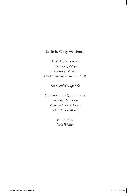#### **Books by Cindy Woodsmall**

Ada's House series *The Hope of Refuge The Bridge of Peace* (Book 3 coming in summer 2011)

*The Sound of Sleigh Bells*

Sisters of the Quilt series *When the Heart Cries When the Morning Comes When the Soul Mends*

> **NONFICTION** *Plain Wisdom*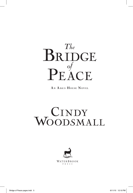

AN ADA'S HOUSE NOVEL

### CINDY WOODSMALL

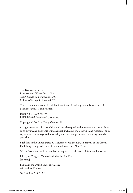The Bridge of Peace Published by WaterBrook Press 12265 Oracle Boulevard, Suite 200 Colorado Springs, Colorado 80921

The characters and events in this book are fictional, and any resemblance to actual persons or events is coincidental.

ISBN 978-1-4000-7397-9 ISBN 978-0-307-45946-6 (electronic)

Copyright © 2010 by Cindy Woodsmall

All rights reserved. No part of this book may be reproduced or transmitted in any form or by any means, electronic or mechanical, including photocopying and recording, or by any information storage and retrieval system, without permission in writing from the publisher.

Published in the United States by WaterBrook Multnomah, an imprint of the Crown Publishing Group, a division of Random House Inc., New York.

WATERBROOK and its deer colophon are registered trademarks of Random House Inc.

Library of Congress Cataloging-in-Publication Data [to come]

Printed in the United States of America 2010—First Edition

10 9 8 7 6 5 4 3 2 1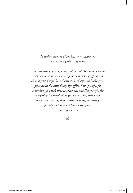*In loving memory of the best, most dedicated teacher in my life—my mom.*

*You were strong, gentle, wise, and flawed. You taught me to read, write, and never give up on God. You taught me to cherish friendships, be stalwart in hardships, and take great pleasure in the little things life offers. I am grateful for everything you took time to teach me, and I'm grateful for everything I learned while you were simply being you. It was your passing that caused me to begin writing, for when I lost you, I lost a part of me. I'll miss you forever.*

**YC**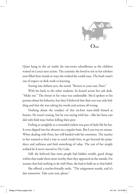

Quiet hung in the air inside the one-room schoolhouse as the children waited on Lena's next action. The curiosity she loved to stir in her scholars now filled their minds in ways she wished she could erase. The hush wasn't out of respect or desk work or learning.

Staring into defiant eyes, she stood. "Return to your seat, Peter."

With his back to the other students, he leaned across her oak desk. "Make me." The threat in his voice was undeniable. She'd spoken to his parents about his behavior, but they'd believed that their son was only kidding and that she was taking his words and actions all wrong.

Nothing about the conduct of this six-foot man-child hinted at humor. He wasn't teasing, but he was toying with her—like her barn cats did with field mice before killing their prey.

Feeling as unsightly as a wounded rodent was part of daily life for her. It even slipped into her dreams on a regular basis. But Lena was no mouse. When dealing with Peter, her will battled with her emotions. The teacher in her wanted to find a way to reach inside him, to get beyond the prejudices and surliness and find something of value. The rest of her simply wished he'd never moved to Dry Lake.

Still, she believed that most people had hidden wealth, good things within that made them more worthy than they appeared on the outside. For reasons that had nothing to do with Peter, she had to hold on to that belief.

She offered a teacher-friendly smile. "The assignment stands, and it's due tomorrow. Take your seat, please."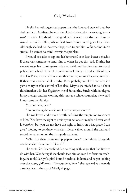He slid her well-organized papers onto the floor and crawled onto her desk and sat. At fifteen he was the oldest student she'd ever taught—or *tried* to teach. He should have graduated sixteen months ago from an Amish school in Ohio, where he'd lived before moving to Dry Lake. Although she had no idea what happened to put him so far behind in his studies, he seemed to think *she* was the problem.

It would be easier to tap into his better self, or at least better behavior, if there was someone to send him to when he got this bad. During her *rumschpringe,* her running-around years, she'd used her freedoms to attend public high school. When her public school teachers faced a difficult student like Peter, they sent him to another teacher, a counselor, or a principal. If there was another adult nearby, Peter probably wouldn't consider it a game to try to take control of her class. Maybe she needed to talk about this situation with her *Englischer* friend Samantha. Surely with her degree in psychology and her working this year as a school counselor, she would know some helpful tips.

"At your desk, Peter."

"I'm not doing the work, and I better not get a zero."

She swallowed and drew a breath, refusing the temptation to scream at him. "You have the right to decide your actions, or maybe a better word is *inactions,* but you do not have the right to insist on what grade I can give." Hoping to continue with class, Lena walked around the desk and settled her attention on the first-grade students.

"Who has their penmanship papers done?" Her three first-grade scholars raised their hands. "Good."

She could feel Peter behind her, seething with anger that had little to do with her. Wondering if she should face him or keep her focus on teaching, she took Marilyn's spiral-bound notebook in hand and began looking over the young girl's work. "To your desk, Peter," she repeated as she made a smiley face at the top of Marilyn's page.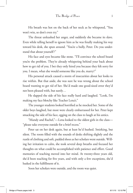His breath was hot on the back of her neck as he whispered, "You won't win, so don't even try."

The threat unleashed her anger, and suddenly she became its slave. Even while telling herself to ignore him as he was finally making his way toward his desk, she spun around. "You're a bully, Peter. Do you understand that about yourself?"

His face and eyes became like stone. "I'll convince the school board you're the problem. They're already whispering behind your back about how to get rid of you. I bet they only hired you because they felt sorry for you. I mean, what else would someone like you do, marry?"

His personal attack caused a storm of insecurities about her looks to rise within. But that aside, she was sure he was wrong about the school board wanting to get rid of her. She'd made one good-sized error they'd not been pleased with, but surely…

He slapped the side of his face really hard and laughed. "Look, I'm making my face blotchy like Teacher Lena's."

The younger students looked horrified as he mocked her. Some of the older boys laughed, but most were clearly embarrassed for her. Peter kept smacking the side of his face, egging on the class to laugh at his antics.

"Mandy and Rachel,"—Lena looked to the oldest girls in the class— "please take everyone outside for a brief recess."

Peter sat on her desk again, but at least he'd hushed. Smirking, but silent. The room filled with the sounds of desks shifting slightly and the rustle of clothing and soft, padded shoes as her scholars went outside. Willing her irritation to calm, she took several deep breaths and focused her thoughts on what could be accomplished with patience and effort. Good memories of teaching moved into her mind. At twenty-three years old, she'd been teaching for five years, and with only a few exceptions, she'd basked in the fulfillment of it.

Soon her scholars were outside, and the room was quiet.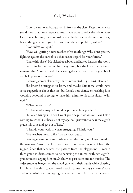"I don't want to embarrass you in front of the class, Peter. I only wish you'd show that same respect to me. If you want to color the side of your face to match mine, there are still a few blueberries on the vine out back, but nothing you do to your face will alter the real problem, will it?"

"Not unless you quit."

"How will getting a new teacher solve anything? Why don't you try fighting against the part of you that has no regard for your future."

"I hate this place." He picked up a book and hurled it across the room.

Lena flinched as the text hit the ground, but she forced her voice to remain calm. "I understand that learning doesn't come easy for you, but I can help you overcome—"

"Learning comes plenty easy," Peter interrupted. "I just ain't interested."

She knew he struggled to learn, and maybe Samantha would have some suggestions about this too, but Lena's best chance of reaching him wouldn't be found in trying to make him admit to his difficulties. "Why not?"

"What do you care?"

"If I knew why, maybe I could help change how you feel."

He rolled his eyes. "I don't want your help. *Mamm* says I can't stop coming to school just because of my age, so I just want to pass the eighth grade this time and get out of here."

"Then do your work. If you're struggling, I'll help you."

"You teachers are all alike. You say that, but…"

Piercing screams of young girls vibrated the room, and Lena moved to the window. Aaron Blank's meanspirited bull stood mere feet from the ragged fence that separated the pasture from the playground. Elmer, a third-grade student, seemed to be harassing the animal with two eighthgrade students egging him on. She hurried past desks and ran outside. The older students banged on the metal gate with their hands while cheering for Elmer. The third grader poked a stick against the angry creature's face and nose while the younger girls squealed with fear and excitement.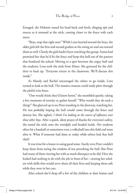Enraged, the Holstein tossed his head back and forth, slinging spit and mucus as it stormed at the stick, coming closer to the fence with each move.

"Boys, stop that right now." While Lena hurried toward the boys, the older girls left the first and second graders at the swing set and ran toward them as well. Clearly the girls hadn't been watching this group. Aaron had promised her that he'd fix the fence and keep this bull out of the pasture that bordered the school. Moving to a spot between the angry bull and the students, Lena took the stick from Elmer. She gestured for the children to back up. "Everyone return to the classroom. We'll discuss this inside"

As Mandy and Rachel encouraged the others to go inside, Lena turned to look at the bull. The massive creature could easily plow through the pitiful wire fence.

"One would think they'd know better," she mumbled quietly, taking a few moments of serenity to gather herself. "Why would they do such a thing?" She glanced up to see Peter standing in the doorway, watching her. He was probably hoping the bull would come through the fence and destroy her. She sighed. *I think I'm looking at the source of influence over those other boys.* After a quick, silent prayer of thanks for everyone's safety, she tossed the stick onto the woodpile and headed inside. Her students often hit a baseball or sometimes even a volleyball into this field and went after it. What if someone had done so today while others had that bull riled?

It was time for a lesson in using good sense. Surely even Peter couldn't keep them from seeing the wisdom of not provoking the bull. But Peter had many of them viewing her with as much disrespect as he did. How she looked had nothing to do with the job in front of her—arming her scholars with skills that would serve them all their lives and keeping them safe while they were in her care.

After school she'd drop off a few of the children at their homes and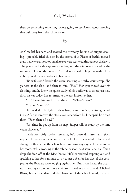then do something refreshing before going to see Aaron about keeping that bull away from the schoolhouse.

 $\omega$ 

As Grey left his barn and crossed the driveway, he smelled supper cooking—probably fried chicken by the aroma of it. Pieces of freshly mowed grass that were almost too small to see were scattered throughout the lawn. The porch and walkways were spotless, and the windows sparkled as the sun moved low on the horizon. A familiar, tainted feeling rose within him as he opened the screen door to his home.

His wife stood beside the oven, scouring a nearby countertop. She glanced at the clock and then to him. "Hey." Her eyes moved over his clothing, and he knew the quick study of his outfit was to assess just how dirty he was today. She returned to the task in front of her.

"Hi." He set his lunchpail in the sink. "Where's Ivan?"

"At your Mamm's."

He nodded. The light in their five-year-old son's eyes strengthened Grey. After he removed the plastic containers from his lunchpail, he rinsed them. "Been there all day?"

"Just since he got up from his nap. Supper will be ready by the time you're showered."

Inside her softly spoken sentence, he'd been dismissed and given respectful instructions to come to the table clean. He needed to bathe and change clothes before the school board meeting anyway, so he went to his bedroom. While working in the cabinetry shop, he'd seen Lena Kauffman drop children off at the Mast house. He'd considered stepping out and speaking to her for a minute to try to get a feel for her side of the complaints the Benders were lodging against her. But if she knew the board was meeting to discuss those criticisms, she'd want to attend. Michael Blank, his father-in-law and the chairman of the school board, had said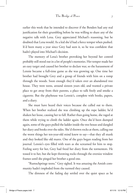earlier this week that he intended to discover if the Benders had any real justification for their grumbling before he was willing to share any of the negative talk with Lena. Grey appreciated Michael's reasoning, but he doubted that Lena would. As a kid she'd had a fierce temper when pushed. It'd been many a year since Grey had seen it, so he was confident that hadn't played into Michael's decision.

The memory of Lena's brother provoking her beyond her control probably still stood out in a lot of people's memories. Her temper made her an easy target and caused her brother to declare war, so the harassment of Lennie became a full-time game as she was growing up. One time her brother had brought Grey and a group of friends with him on a romp through the woods. Soon enough they'd taken over an abandoned tree house. They were teens, around sixteen years old, and wanted a private place to get away from their parents, a place to talk freely and smoke a cigarette. But the playhouse was Lennie's, complete with books, papers, and a diary.

She must have heard their voices because she called out to them. When her brother realized she was climbing up the rope ladder, he'd shaken her loose, causing her to fall. Rather than going home, she raged at them while trying to climb the ladder again. Once she'd been dumped again, some of the guys pulled the ladder inside the tree house and dangled her diary and books over the sides. She'd thrown rocks at them, calling out the worst things her ten-year-old mind knew to say—that they all stunk and they looked like old mares. One of the guys began reading from her journal. Lennie's eyes filled with tears as she screamed for him to stop. Feeling sorry for her, Grey had freed her diary from the tormentors. He tossed it to her, but she kept throwing rocks through the oversize window frames until she pinged her brother a good one.

"Rumschpringe teens." Grey sighed. It was amazing the Amish community hadn't imploded from the turmoil they caused.

The dimness of the fading day settled over the quiet space as he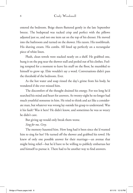entered the bedroom. Beige sheers fluttered gently in the late September breeze. The bedspread was tucked crisp and perfect with the pillows adjusted just so, and not one item sat on the top of his dresser. He moved into the bathroom and turned on the shower. His razors. His toothbrush. His shaving cream. His combs. All lined up perfectly on a rectangular piece of white linen.

Plush, clean towels were stacked neatly on a shelf. He grabbed one, hung it on the peg near the shower stall and peeled out of his clothes. Feeling tempted for a moment to leave his stuff on the floor, he mumbled to himself to grow up. Elsie wouldn't say a word. Conversations didn't pass the threshold of the bedroom. Ever.

As the hot water and soap rinsed the day's grime from his body, he wondered if she ever missed him.

The discomfort of the thought drained his energy. For too long he'd searched his mind and heart for answers. At twenty-eight he no longer had much youthful nonsense in him. He tried to think and act like a considerate man, but whatever was wrong lay outside his grasp to understand. Was it his fault? Was it hers? He didn't know, and sometimes he was so weary he didn't care.

But giving up would only break them worse.

#### *Sing for me, Grey.*

The memory haunted him. How long had it been since she'd wanted him to sing for her? He turned off the shower and grabbed his towel. He knew of only one possible answer for their marriage—an avenue that might bring relief—but he'd have to be willing to publicly embarrass her and himself to pursue it. There had to be another way to find answers.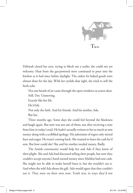

Deborah closed her eyes, trying to block out a reality she could not yet welcome. Heat from the gas-powered stove continued to pour into the kitchen as it had since before daylight. The orders for baked goods were almost done for the day. With her eyelids shut tight, she tried to still the fresh ache.

Not one breath of air came through the open windows or screen door.

Still. Dry. Unmoving.

Exactly like her life.

He'd left.

Not only the faith. And his friends. And his mother, Ada.

But her.

Three months ago. Some days she could feel beyond the blackness and laugh again. But now was not one of them, not after receiving a note from him in today's mail. He hadn't actually written to her as much as sent money along with a scribbled apology. His admission of regret only stirred hurt and anger. He wasn't coming back. She wanted to burn the cash he'd sent. But how could she? She and his mother needed money. Badly.

The Amish community would help her and Ada if they knew of their plight. She and Ada had discussed telling their people, but now they couldn't accept anyone's hard-earned money since Mahlon had sent cash. She might not be able to make herself burn it, but she wouldn't use it. And when she told Ada about the *gift,* Ada would agree that they couldn't use it. They were on their own now. Truth was, in ways they'd not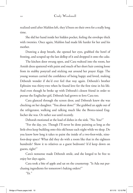realized until after Mahlon left, they'd been on their own for a really long time.

She slid her hand inside her hidden pocket, feeling the envelope thick with twenties. Once again, Mahlon had made life harder for her and his mother.

Drawing a deep breath, she opened her eyes, grabbed the bowl of frosting, and scraped up the last dollop of it and dropped it onto the cake.

The kitchen door swung open, and Cara waltzed into the room, her Amish dress spattered with paint and much of her short hair coming loose from its stubby ponytail and sticking out around her prayer *Kapp.* The young woman carried the confidence of being happy and loved, making Deborah wonder if she'd ever feel that way again. Deborah's brother Ephraim was thirty-two when he found love for the first time in his life. And even though he broke up with Deborah's closest friend in order to pursue the Englischer girl, Deborah had grown to love Cara too.

Cara glanced through the screen door, and Deborah knew she was checking on her daughter. "You about done?" She grabbed an apple out of the refrigerator, walking and talking much like the Bronx-raised Englischer she was. Or rather *was* until recently.

Deborah motioned at the load of dishes in the sink. "No. You?"

"For the day, yes. Though I'll never be done painting as long as the little elves keep building onto this old house each night while we sleep. Do you know how long it takes to paint the inside of a two-foot-wide, ninefoot-deep space? What did they do with a room like that in the eighteen hundreds? Show it to relatives as a guest bedroom? It'd keep down on guests, right?"

Cara's nonsense made Deborah smile, and she longed to be free to enjoy her days again.

Cara took a bite of apple and sat on the countertop. "Is Ada out purchasing ingredients for tomorrow's baking orders?"

*"Ya."*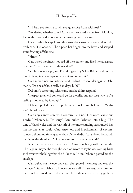"If I help you finish up, will you go to Dry Lake with me?"

Wondering whether to tell Cara she'd received a note from Mahlon, Deborah continued smoothing the frosting over the cake.

Cara finished her apple and then tossed it across the room and into the trash can. "Hellooooo?" She dipped her finger into the bowl and scraped some frosting off the side.

" $Hmm$ <sup>"</sup>

Cara licked her finger, hopped off the counter, and fixed herself a glass of water. "You made two of those cakes?"

"Ya. It's a new recipe, and I'm taking one by Select Bakery and one by Sweet Delights as a sample of a new item on our list."

Cara moved next to Deborah and nudged her shoulder against Deborah's. "It's one of those really bad days, huh?"

Deborah's eyes stung with tears, but she didn't respond.

"I expect grief will come and go for a while, but any idea why you're feeling smothered by it today?"

Deborah pulled the envelope from her pocket and held it up. "Mahlon," she whispered.

Cara's eyes grew large with concern. "Oh no." Her words came out slowly. "Deborah, I…I'm sorry." Cara pulled Deborah into a hug. The tone of Cara's voice and the warmth of her understanding surrounded her like no one else's could. Cara knew loss and imprisonment of circumstances a thousand times greater than Deborah did. Cara placed her hands on Deborah's shoulders. "Do you want to share what he said?"

It seemed a little odd how careful Cara was being with her words. Then again, maybe she thought Mahlon wrote to say he was coming back so she was withholding what she'd like to call him. Deborah passed her the envelope.

Cara pulled out the note and cash. She ignored the money and read the message. "Dearest Deborah, I hope you are well. I'm so very, very sorry for the pain I've caused you and Mamm. Please allow me to ease my guilt by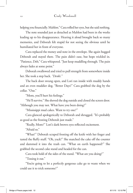helping you financially. Mahlon." Cara rolled her eyes, but she said nothing.

The note sounded just as detached as Mahlon had been in the weeks leading up to his disappearance. Hearing it aloud brought back so many memories, and Deborah felt stupid for not seeing the obvious until he humiliated her in front of everyone.

Cara replaced the money and note in the envelope. She again hugged Deborah and stayed there. The pain didn't ease, but hope trickled in. "Patience, Deb," Cara whispered. "Just keep muddling through. The pain always fades at some point."

Deborah swallowed and tried to pull strength from somewhere inside her. She took a step back. *"Denki."*

The back door swung open, and Lori ran inside with muddy hands and an even muddier dog. "Better Days!" Cara grabbed the dog by the collar. "Out."

"Mom, you'll hurt his feelings."

"He'll survive." She shoved the dog outside and closed the screen door. "Although you may not. What have you been doing?"

"Mississippi mud cakes. Want to try one?"

Cara glanced apologetically to Deborah and shrugged. "It's probably as good as the frosting Deborah just made."

"Really, Mom?" Lori's dark brown eyes reflected excitement.

"Afraid so."

"What?" Deborah scraped frosting off the knife with her finger and tasted the fluffy stuff. "Oh, yuck!" She snatched the cake off the counter and slammed it into the trash can. "What on earth happened?" She grabbed the second cake stand and headed for the can.

Cara took hold of the sides of the stand. "What are you doing?"

"Tossing it out."

"You're going to let a perfectly gorgeous cake go to waste when we could use it to trick someone?"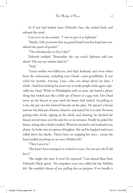As if rust had broken from Deborah's face, she smiled freely and released the stand.

Cara set it on the counter. "I vote we give it to Ephraim."

"Maybe. Did you know that my good friend Lena has long been considered the queen of pranks?"

"The schoolteacher in Dry Lake?"

Deborah nodded. "Remember the van wreck Ephraim told you about? The one our mother died in?"

"Yeah."

"Lena's mother was killed too, and Ada's husband, and seven others from the community, including your *Daadi*—your grandfather. It was awful for months. Anyway, Lena—who was about eleven by then, I think—had been looking for some way to make people smile again, especially her *Daed.* While in Philadelphia with an aunt, she found a plastic thing that looked just like a little pat of butter at a gag store. Her Daed never ate his biscuit or peas until the butter had melted. According to Lena, she put two hot *buttered* biscuits on his plate. He opened a biscuit and saw the little pat of butter, closed it, and waited for it to melt. Between getting other foods, sipping on his drink, and chatting, he checked the biscuit several times over the next five or six minutes. Finally he poked the butter, asking why it hadn't melted. When he touched it and realized it was plastic, he broke into an uproar of laughter. She said he laughed until tears rolled down his cheeks. There's been no stopping her since…except she hasn't pulled anything on me since Mahlon left."

"Then Lena it is."

"She hasn't been stumped or tricked in years. I'm not sure she'll fall for it."

"She might this time. It won't be expected." Cara dusted flour from Deborah's black apron. "An unspoken truce was called the day Mahlon left. She wouldn't dream of you pulling this on purpose. If we handle it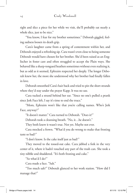right and slice a piece for her while we visit, she'll probably eat nearly a whole slice, just to be nice."

"You know, I fear for my brother sometimes." Deborah giggled, feeling sadness loosen its death grip.

Cara's laughter came from a spring of contentment within her, and Deborah enjoyed a refreshing sip. Cara wasn't even close to being someone Deborah would have chosen for her brother. She'd been raised as an Englischer in foster care and often struggled to accept the Plain ways. She behaved like a sharp-tongued heathen sometimes without even realizing it, but as odd as it seemed, Ephraim respected her deeply. The longer Deborah knew her, the more she understood why her brother had finally fallen in love.

Deborah smoothed Cara's hair back and tried to pin the short strands where they'd stay under the prayer Kapp. It was no use.

Cara tucked a strand behind her ear. "Since no one's pulled a prank since Jerk Face left, I say it's time to end the truce."

"Mom, Ephraim won't like that you're calling names. Who's Jerk Face, anyway?"

"It doesn't matter." Cara turned to Deborah. "Does it?"

Deborah took a cleansing breath. "No, it…he doesn't."

They both knew it wasn't true. Not yet. Maybe not ever.

Cara mocked a frown. "What'd you do wrong to make that frosting taste so bad?"

"I don't know. Is the cake itself just as bad?"

They moved to the tossed-out cake. Cara jabbed a fork in the very center of it, where it hadn't touched any part of the trash can. She took a tiny nibble and shuddered. "It's both frosting and cake."

"So what'd I do?"

Cara made a face. "Salt."

"Too much salt?" Deborah glanced to her work station. "How did I manage that?"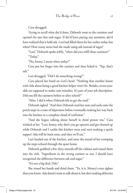Cara shrugged.

Trying to recall what she'd done, Deborah went to the canisters and opened the one that said sugar. If she'd been paying any attention, she'd have realized that it held salt. Lori had filled them for her earlier today, but when? How many items had she made using salt instead of sugar?

"Lori," Deborah spoke softly, "when did you refill these canisters?" "Today."

"No, honey, I mean when today?"

Cara put her finger into the canister and then licked it. "Yep, that's salt."

Lori shrugged. "Did I do something wrong?"

Cara placed her hand on Lori's head. "Nothing that another lesson with Ada about being a good kitchen helper won't fix. Besides, seven-yearolds are supposed to make cute mistakes. It's part of your job description. Did you fill the canisters before or after school?"

"After. I did it when Deborah left to get the mail."

Deborah sighed. "And then Deborah read her note and sank onto the porch steps in a state of depression before eventually making her way back into the kitchen in a complete cloud of confusion."

"And she began talking about herself in third person too." Cara winked at her. "Lori, honey, why don't you go upstairs and get cleaned up while Deborah and I tackle this kitchen mess and start making a quick supper? Ada will be back soon, and then we'll eat."

Lori headed out of the kitchen, and soon the sound of her tromping up the steps echoed through the quiet home.

Deborah grabbed a few dirty utensils off the cabinet and tossed them into the sink. "Ingredients in the wrong canister or not, I should have recognized the difference between salt and sugar."

"It's not a big deal, Deb."

She rinsed her hands and dried them. "Ya, it is. Money's even tighter than you know. Ada doesn't want to talk about it, but she's making deliveries